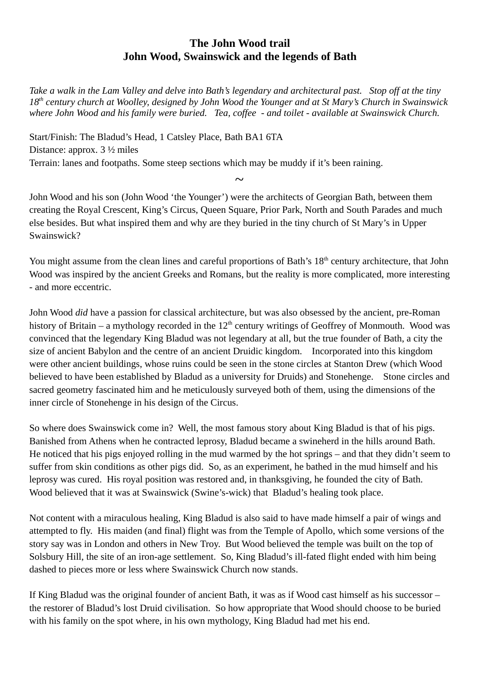## **The John Wood trail John Wood, Swainswick and the legends of Bath**

*Take a walk in the Lam Valley and delve into Bath's legendary and architectural past. Stop off at the tiny 18th century church at Woolley, designed by John Wood the Younger and at St Mary's Church in Swainswick where John Wood and his family were buried. Tea, coffee - and toilet - available at Swainswick Church.*

Start/Finish: The Bladud's Head, 1 Catsley Place, Bath BA1 6TA Distance: approx. 3 ½ miles Terrain: lanes and footpaths. Some steep sections which may be muddy if it's been raining.

John Wood and his son (John Wood 'the Younger') were the architects of Georgian Bath, between them creating the Royal Crescent, King's Circus, Queen Square, Prior Park, North and South Parades and much else besides. But what inspired them and why are they buried in the tiny church of St Mary's in Upper Swainswick?

*~*

You might assume from the clean lines and careful proportions of Bath's 18<sup>th</sup> century architecture, that John Wood was inspired by the ancient Greeks and Romans, but the reality is more complicated, more interesting - and more eccentric.

John Wood *did* have a passion for classical architecture, but was also obsessed by the ancient, pre-Roman history of Britain – a mythology recorded in the  $12<sup>th</sup>$  century writings of Geoffrey of Monmouth. Wood was convinced that the legendary King Bladud was not legendary at all, but the true founder of Bath, a city the size of ancient Babylon and the centre of an ancient Druidic kingdom. Incorporated into this kingdom were other ancient buildings, whose ruins could be seen in the stone circles at Stanton Drew (which Wood believed to have been established by Bladud as a university for Druids) and Stonehenge. Stone circles and sacred geometry fascinated him and he meticulously surveyed both of them, using the dimensions of the inner circle of Stonehenge in his design of the Circus.

So where does Swainswick come in? Well, the most famous story about King Bladud is that of his pigs. Banished from Athens when he contracted leprosy, Bladud became a swineherd in the hills around Bath. He noticed that his pigs enjoyed rolling in the mud warmed by the hot springs – and that they didn't seem to suffer from skin conditions as other pigs did. So, as an experiment, he bathed in the mud himself and his leprosy was cured. His royal position was restored and, in thanksgiving, he founded the city of Bath. Wood believed that it was at Swainswick (Swine's-wick) that Bladud's healing took place.

Not content with a miraculous healing, King Bladud is also said to have made himself a pair of wings and attempted to fly. His maiden (and final) flight was from the Temple of Apollo, which some versions of the story say was in London and others in New Troy. But Wood believed the temple was built on the top of Solsbury Hill, the site of an iron-age settlement. So, King Bladud's ill-fated flight ended with him being dashed to pieces more or less where Swainswick Church now stands.

If King Bladud was the original founder of ancient Bath, it was as if Wood cast himself as his successor – the restorer of Bladud's lost Druid civilisation. So how appropriate that Wood should choose to be buried with his family on the spot where, in his own mythology, King Bladud had met his end.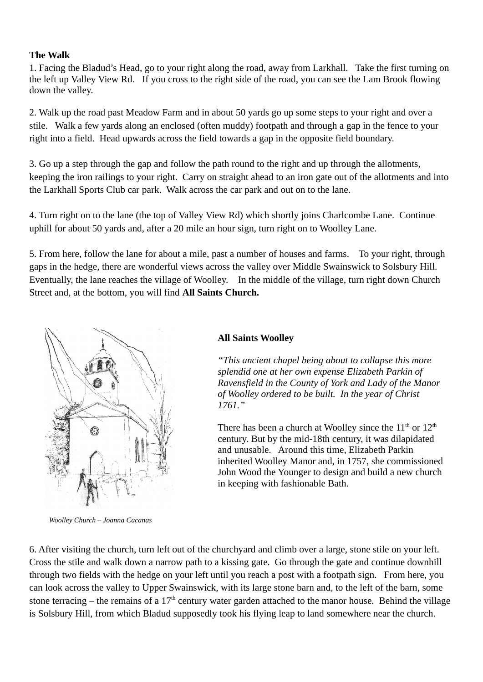## **The Walk**

1. Facing the Bladud's Head, go to your right along the road, away from Larkhall. Take the first turning on the left up Valley View Rd. If you cross to the right side of the road, you can see the Lam Brook flowing down the valley.

2. Walk up the road past Meadow Farm and in about 50 yards go up some steps to your right and over a stile. Walk a few yards along an enclosed (often muddy) footpath and through a gap in the fence to your right into a field. Head upwards across the field towards a gap in the opposite field boundary.

3. Go up a step through the gap and follow the path round to the right and up through the allotments, keeping the iron railings to your right. Carry on straight ahead to an iron gate out of the allotments and into the Larkhall Sports Club car park. Walk across the car park and out on to the lane.

4. Turn right on to the lane (the top of Valley View Rd) which shortly joins Charlcombe Lane. Continue uphill for about 50 yards and, after a 20 mile an hour sign, turn right on to Woolley Lane.

5. From here, follow the lane for about a mile, past a number of houses and farms. To your right, through gaps in the hedge, there are wonderful views across the valley over Middle Swainswick to Solsbury Hill. Eventually, the lane reaches the village of Woolley. In the middle of the village, turn right down Church Street and, at the bottom, you will find **All Saints Church.**



*Woolley Church – Joanna Cacanas*

## **All Saints Woolley**

*"This ancient chapel being about to collapse this more splendid one at her own expense Elizabeth Parkin of Ravensfield in the County of York and Lady of the Manor of Woolley ordered to be built. In the year of Christ 1761."*

There has been a church at Woolley since the  $11<sup>th</sup>$  or  $12<sup>th</sup>$ century. But by the mid-18th century, it was dilapidated and unusable. Around this time, Elizabeth Parkin inherited Woolley Manor and, in 1757, she commissioned John Wood the Younger to design and build a new church in keeping with fashionable Bath.

6. After visiting the church, turn left out of the churchyard and climb over a large, stone stile on your left. Cross the stile and walk down a narrow path to a kissing gate. Go through the gate and continue downhill through two fields with the hedge on your left until you reach a post with a footpath sign. From here, you can look across the valley to Upper Swainswick, with its large stone barn and, to the left of the barn, some stone terracing – the remains of a 17<sup>th</sup> century water garden attached to the manor house. Behind the village is Solsbury Hill, from which Bladud supposedly took his flying leap to land somewhere near the church.